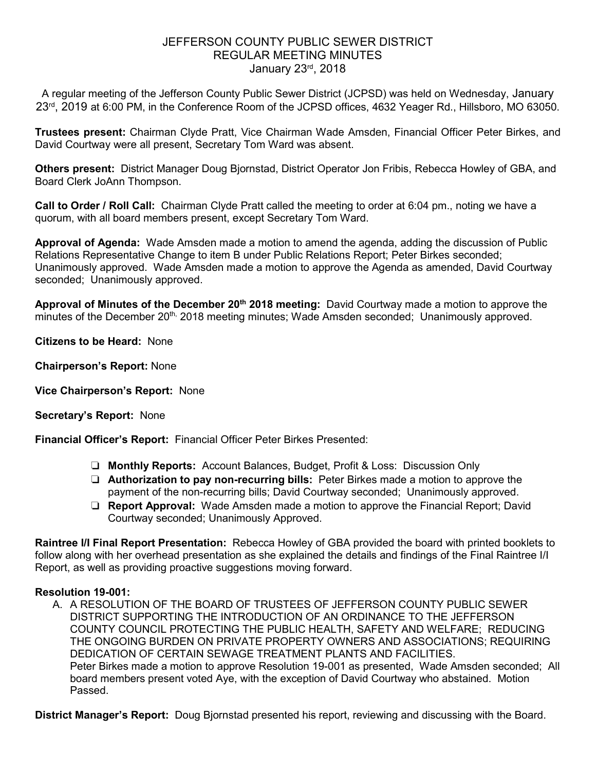## JEFFERSON COUNTY PUBLIC SEWER DISTRICT REGULAR MEETING MINUTES January 23rd, 2018

A regular meeting of the Jefferson County Public Sewer District (JCPSD) was held on Wednesday, January 23<sup>rd</sup>, 2019 at 6:00 PM, in the Conference Room of the JCPSD offices, 4632 Yeager Rd., Hillsboro, MO 63050.

**Trustees present:** Chairman Clyde Pratt, Vice Chairman Wade Amsden, Financial Officer Peter Birkes, and David Courtway were all present, Secretary Tom Ward was absent.

**Others present:** District Manager Doug Bjornstad, District Operator Jon Fribis, Rebecca Howley of GBA, and Board Clerk JoAnn Thompson.

**Call to Order / Roll Call:** Chairman Clyde Pratt called the meeting to order at 6:04 pm., noting we have a quorum, with all board members present, except Secretary Tom Ward.

**Approval of Agenda:** Wade Amsden made a motion to amend the agenda, adding the discussion of Public Relations Representative Change to item B under Public Relations Report; Peter Birkes seconded; Unanimously approved. Wade Amsden made a motion to approve the Agenda as amended, David Courtway seconded; Unanimously approved.

**Approval of Minutes of the December 20th 2018 meeting:** David Courtway made a motion to approve the minutes of the December 20<sup>th,</sup> 2018 meeting minutes; Wade Amsden seconded; Unanimously approved.

**Citizens to be Heard:** None

**Chairperson's Report:** None

**Vice Chairperson's Report:** None

**Secretary's Report:** None

**Financial Officer's Report:** Financial Officer Peter Birkes Presented:

- ❏ **Monthly Reports:** Account Balances, Budget, Profit & Loss: Discussion Only
- ❏ **Authorization to pay non-recurring bills:** Peter Birkes made a motion to approve the payment of the non-recurring bills; David Courtway seconded; Unanimously approved.
- ❏ **Report Approval:** Wade Amsden made a motion to approve the Financial Report; David Courtway seconded; Unanimously Approved.

**Raintree I/I Final Report Presentation:** Rebecca Howley of GBA provided the board with printed booklets to follow along with her overhead presentation as she explained the details and findings of the Final Raintree I/I Report, as well as providing proactive suggestions moving forward.

#### **Resolution 19-001:**

A. A RESOLUTION OF THE BOARD OF TRUSTEES OF JEFFERSON COUNTY PUBLIC SEWER DISTRICT SUPPORTING THE INTRODUCTION OF AN ORDINANCE TO THE JEFFERSON COUNTY COUNCIL PROTECTING THE PUBLIC HEALTH, SAFETY AND WELFARE; REDUCING THE ONGOING BURDEN ON PRIVATE PROPERTY OWNERS AND ASSOCIATIONS; REQUIRING DEDICATION OF CERTAIN SEWAGE TREATMENT PLANTS AND FACILITIES. Peter Birkes made a motion to approve Resolution 19-001 as presented, Wade Amsden seconded; All board members present voted Aye, with the exception of David Courtway who abstained. Motion Passed.

**District Manager's Report:** Doug Bjornstad presented his report, reviewing and discussing with the Board.